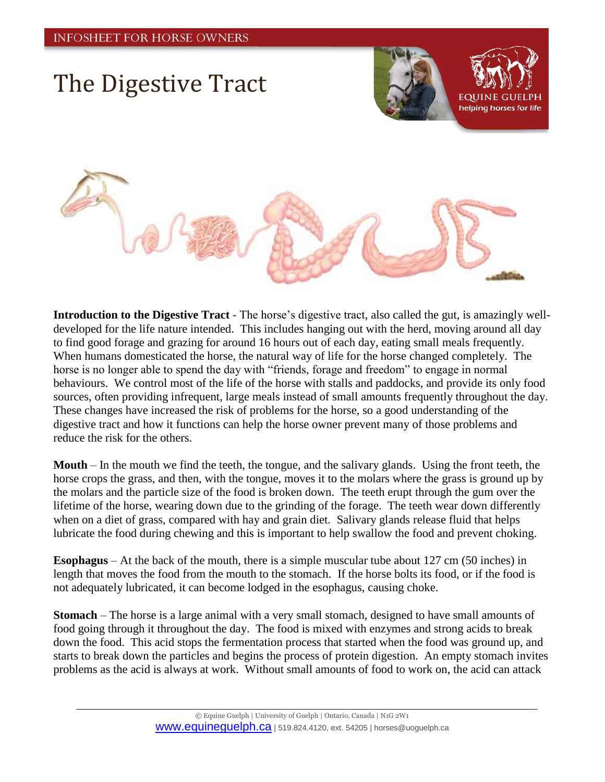## The Digestive Tract



helping horses for life



**Introduction to the Digestive Tract** - The horse's digestive tract, also called the gut, is amazingly welldeveloped for the life nature intended. This includes hanging out with the herd, moving around all day to find good forage and grazing for around 16 hours out of each day, eating small meals frequently. When humans domesticated the horse, the natural way of life for the horse changed completely. The horse is no longer able to spend the day with "friends, forage and freedom" to engage in normal behaviours. We control most of the life of the horse with stalls and paddocks, and provide its only food sources, often providing infrequent, large meals instead of small amounts frequently throughout the day. These changes have increased the risk of problems for the horse, so a good understanding of the digestive tract and how it functions can help the horse owner prevent many of those problems and reduce the risk for the others.

**Mouth** – In the mouth we find the teeth, the tongue, and the salivary glands. Using the front teeth, the horse crops the grass, and then, with the tongue, moves it to the molars where the grass is ground up by the molars and the particle size of the food is broken down. The teeth erupt through the gum over the lifetime of the horse, wearing down due to the grinding of the forage. The teeth wear down differently when on a diet of grass, compared with hay and grain diet. Salivary glands release fluid that helps lubricate the food during chewing and this is important to help swallow the food and prevent choking.

**Esophagus** – At the back of the mouth, there is a simple muscular tube about 127 cm (50 inches) in length that moves the food from the mouth to the stomach. If the horse bolts its food, or if the food is not adequately lubricated, it can become lodged in the esophagus, causing choke.

**Stomach** – The horse is a large animal with a very small stomach, designed to have small amounts of food going through it throughout the day. The food is mixed with enzymes and strong acids to break down the food. This acid stops the fermentation process that started when the food was ground up, and starts to break down the particles and begins the process of protein digestion. An empty stomach invites problems as the acid is always at work. Without small amounts of food to work on, the acid can attack